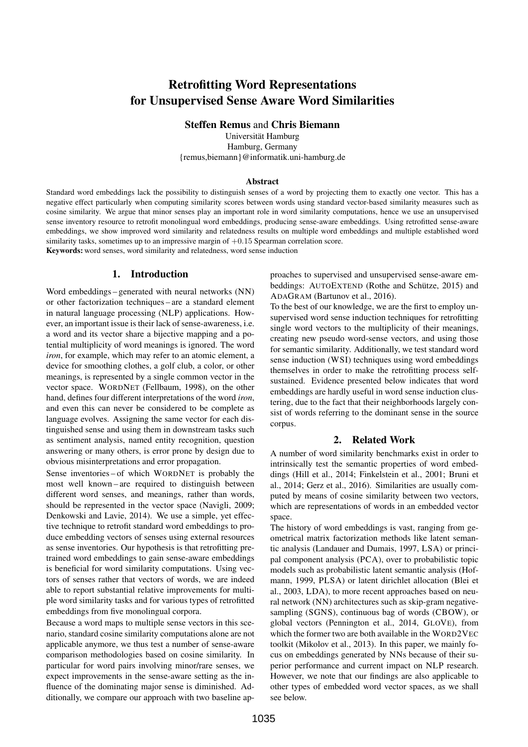# Retrofitting Word Representations for Unsupervised Sense Aware Word Similarities

Steffen Remus and Chris Biemann

Universität Hamburg Hamburg, Germany {remus,biemann}@informatik.uni-hamburg.de

#### Abstract

Standard word embeddings lack the possibility to distinguish senses of a word by projecting them to exactly one vector. This has a negative effect particularly when computing similarity scores between words using standard vector-based similarity measures such as cosine similarity. We argue that minor senses play an important role in word similarity computations, hence we use an unsupervised sense inventory resource to retrofit monolingual word embeddings, producing sense-aware embeddings. Using retrofitted sense-aware embeddings, we show improved word similarity and relatedness results on multiple word embeddings and multiple established word similarity tasks, sometimes up to an impressive margin of  $+0.15$  Spearman correlation score.

Keywords: word senses, word similarity and relatedness, word sense induction

#### 1. Introduction

Word embeddings – generated with neural networks (NN) or other factorization techniques – are a standard element in natural language processing (NLP) applications. However, an important issue is their lack of sense-awareness, i.e. a word and its vector share a bijective mapping and a potential multiplicity of word meanings is ignored. The word *iron*, for example, which may refer to an atomic element, a device for smoothing clothes, a golf club, a color, or other meanings, is represented by a single common vector in the vector space. WORDNET (Fellbaum, 1998), on the other hand, defines four different interpretations of the word *iron*, and even this can never be considered to be complete as language evolves. Assigning the same vector for each distinguished sense and using them in downstream tasks such as sentiment analysis, named entity recognition, question answering or many others, is error prone by design due to obvious misinterpretations and error propagation.

Sense inventories – of which WORDNET is probably the most well known – are required to distinguish between different word senses, and meanings, rather than words, should be represented in the vector space (Navigli, 2009; Denkowski and Lavie, 2014). We use a simple, yet effective technique to retrofit standard word embeddings to produce embedding vectors of senses using external resources as sense inventories. Our hypothesis is that retrofitting pretrained word embeddings to gain sense-aware embeddings is beneficial for word similarity computations. Using vectors of senses rather that vectors of words, we are indeed able to report substantial relative improvements for multiple word similarity tasks and for various types of retrofitted embeddings from five monolingual corpora.

Because a word maps to multiple sense vectors in this scenario, standard cosine similarity computations alone are not applicable anymore, we thus test a number of sense-aware comparison methodologies based on cosine similarity. In particular for word pairs involving minor/rare senses, we expect improvements in the sense-aware setting as the influence of the dominating major sense is diminished. Additionally, we compare our approach with two baseline approaches to supervised and unsupervised sense-aware embeddings: AUTOEXTEND (Rothe and Schütze, 2015) and ADAGRAM (Bartunov et al., 2016).

To the best of our knowledge, we are the first to employ unsupervised word sense induction techniques for retrofitting single word vectors to the multiplicity of their meanings, creating new pseudo word-sense vectors, and using those for semantic similarity. Additionally, we test standard word sense induction (WSI) techniques using word embeddings themselves in order to make the retrofitting process selfsustained. Evidence presented below indicates that word embeddings are hardly useful in word sense induction clustering, due to the fact that their neighborhoods largely consist of words referring to the dominant sense in the source corpus.

#### 2. Related Work

A number of word similarity benchmarks exist in order to intrinsically test the semantic properties of word embeddings (Hill et al., 2014; Finkelstein et al., 2001; Bruni et al., 2014; Gerz et al., 2016). Similarities are usually computed by means of cosine similarity between two vectors, which are representations of words in an embedded vector space.

The history of word embeddings is vast, ranging from geometrical matrix factorization methods like latent semantic analysis (Landauer and Dumais, 1997, LSA) or principal component analysis (PCA), over to probabilistic topic models such as probabilistic latent semantic analysis (Hofmann, 1999, PLSA) or latent dirichlet allocation (Blei et al., 2003, LDA), to more recent approaches based on neural network (NN) architectures such as skip-gram negativesampling (SGNS), continuous bag of words (CBOW), or global vectors (Pennington et al., 2014, GLOVE), from which the former two are both available in the WORD2VEC toolkit (Mikolov et al., 2013). In this paper, we mainly focus on embeddings generated by NNs because of their superior performance and current impact on NLP research. However, we note that our findings are also applicable to other types of embedded word vector spaces, as we shall see below.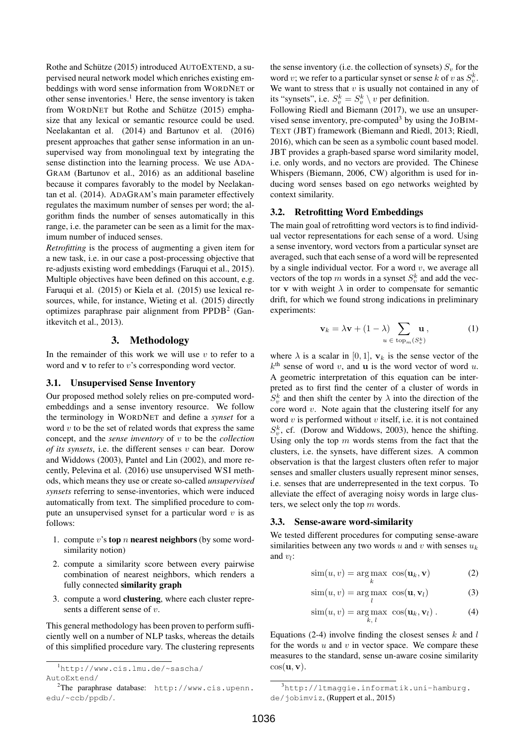Rothe and Schütze (2015) introduced AUTOEXTEND, a supervised neural network model which enriches existing embeddings with word sense information from WORDNET or other sense inventories.<sup>1</sup> Here, the sense inventory is taken from WORDNET but Rothe and Schütze (2015) emphasize that any lexical or semantic resource could be used. Neelakantan et al. (2014) and Bartunov et al. (2016) present approaches that gather sense information in an unsupervised way from monolingual text by integrating the sense distinction into the learning process. We use ADA-GRAM (Bartunov et al., 2016) as an additional baseline because it compares favorably to the model by Neelakantan et al. (2014). ADAGRAM's main parameter effectively regulates the maximum number of senses per word; the algorithm finds the number of senses automatically in this range, i.e. the parameter can be seen as a limit for the maximum number of induced senses.

*Retrofitting* is the process of augmenting a given item for a new task, i.e. in our case a post-processing objective that re-adjusts existing word embeddings (Faruqui et al., 2015). Multiple objectives have been defined on this account, e.g. Faruqui et al. (2015) or Kiela et al. (2015) use lexical resources, while, for instance, Wieting et al. (2015) directly optimizes paraphrase pair alignment from PPDB<sup>2</sup> (Ganitkevitch et al., 2013).

#### 3. Methodology

In the remainder of this work we will use  $v$  to refer to a word and **v** to refer to *v*'s corresponding word vector.

#### 3.1. Unsupervised Sense Inventory

Our proposed method solely relies on pre-computed wordembeddings and a sense inventory resource. We follow the terminology in WORDNET and define a *synset* for a word  $v$  to be the set of related words that express the same concept, and the *sense inventory* of v to be the *collection of its synsets*, i.e. the different senses v can bear. Dorow and Widdows (2003), Pantel and Lin (2002), and more recently, Pelevina et al. (2016) use unsupervised WSI methods, which means they use or create so-called *unsupervised synsets* referring to sense-inventories, which were induced automatically from text. The simplified procedure to compute an unsupervised synset for a particular word  $v$  is as follows:

- 1. compute v's top n nearest neighbors (by some wordsimilarity notion)
- 2. compute a similarity score between every pairwise combination of nearest neighbors, which renders a fully connected similarity graph
- 3. compute a word clustering, where each cluster represents a different sense of v.

This general methodology has been proven to perform sufficiently well on a number of NLP tasks, whereas the details of this simplified procedure vary. The clustering represents

the sense inventory (i.e. the collection of synsets)  $S_n$  for the word v; we refer to a particular synset or sense k of v as  $S_v^k$ . We want to stress that  $v$  is usually not contained in any of its "synsets", i.e.  $S_v^k = S_v^k \setminus v$  per definition.

Following Riedl and Biemann (2017), we use an unsupervised sense inventory, pre-computed<sup>3</sup> by using the  $JOBIM-$ TEXT (JBT) framework (Biemann and Riedl, 2013; Riedl, 2016), which can be seen as a symbolic count based model. JBT provides a graph-based sparse word similarity model, i.e. only words, and no vectors are provided. The Chinese Whispers (Biemann, 2006, CW) algorithm is used for inducing word senses based on ego networks weighted by context similarity.

#### 3.2. Retrofitting Word Embeddings

The main goal of retrofitting word vectors is to find individual vector representations for each sense of a word. Using a sense inventory, word vectors from a particular synset are averaged, such that each sense of a word will be represented by a single individual vector. For a word  $v$ , we average all vectors of the top m words in a synset  $S_v^k$  and add the vector v with weight  $\lambda$  in order to compensate for semantic drift, for which we found strong indications in preliminary experiments:

$$
\mathbf{v}_k = \lambda \mathbf{v} + (1 - \lambda) \sum_{u \in \text{top}_m(S_v^k)} \mathbf{u},\tag{1}
$$

where  $\lambda$  is a scalar in [0, 1],  $v_k$  is the sense vector of the  $k<sup>th</sup>$  sense of word v, and **u** is the word vector of word u. A geometric interpretation of this equation can be interpreted as to first find the center of a cluster of words in  $S_v^k$  and then shift the center by  $\lambda$  into the direction of the core word  $v$ . Note again that the clustering itself for any word  $v$  is performed without  $v$  itself, i.e. it is not contained  $S_v^k$ , cf. (Dorow and Widdows, 2003), hence the shifting. Using only the top  $m$  words stems from the fact that the clusters, i.e. the synsets, have different sizes. A common observation is that the largest clusters often refer to major senses and smaller clusters usually represent minor senses, i.e. senses that are underrepresented in the text corpus. To alleviate the effect of averaging noisy words in large clusters, we select only the top m words.

#### 3.3. Sense-aware word-similarity

We tested different procedures for computing sense-aware similarities between any two words u and v with senses  $u_k$ and  $v_l$ :

$$
\text{sim}(u, v) = \arg\max_{k} \; \cos(\mathbf{u}_k, \mathbf{v}) \tag{2}
$$

$$
\text{sim}(u, v) = \underset{l}{\text{arg max}} \cos(\mathbf{u}, \mathbf{v}_l) \tag{3}
$$

$$
\text{sim}(u, v) = \underset{k, l}{\text{arg max}} \cos(\mathbf{u}_k, \mathbf{v}_l). \tag{4}
$$

Equations (2-4) involve finding the closest senses  $k$  and  $l$ for the words  $u$  and  $v$  in vector space. We compare these measures to the standard, sense un-aware cosine similarity  $\cos(\mathbf{u}, \mathbf{v}).$ 

<sup>1</sup>http://www.cis.lmu.de/~sascha/ AutoExtend/

<sup>2</sup>The paraphrase database: http://www.cis.upenn. edu/~ccb/ppdb/.

<sup>3</sup>http://ltmaggie.informatik.uni-hamburg. de/jobimviz, (Ruppert et al., 2015)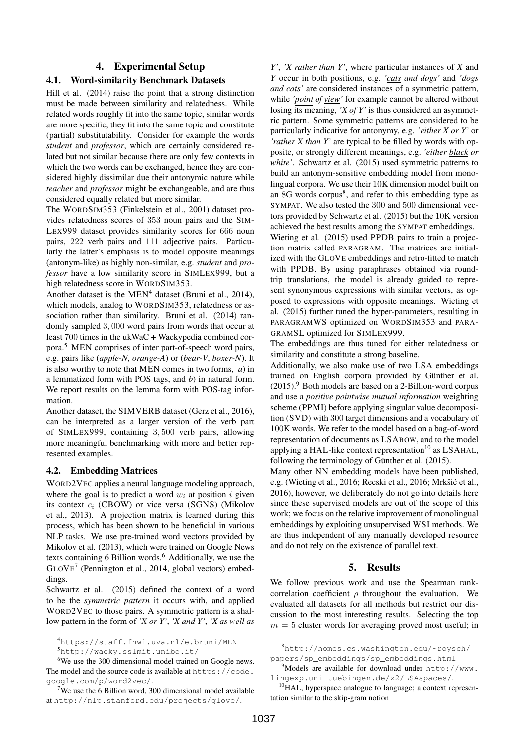#### 4. Experimental Setup

## 4.1. Word-similarity Benchmark Datasets

Hill et al. (2014) raise the point that a strong distinction must be made between similarity and relatedness. While related words roughly fit into the same topic, similar words are more specific, they fit into the same topic and constitute (partial) substitutability. Consider for example the words *student* and *professor*, which are certainly considered related but not similar because there are only few contexts in which the two words can be exchanged, hence they are considered highly dissimilar due their antonymic nature while *teacher* and *professor* might be exchangeable, and are thus considered equally related but more similar.

The WORDSIM353 (Finkelstein et al., 2001) dataset provides relatedness scores of 353 noun pairs and the SIM-LEX999 dataset provides similarity scores for 666 noun pairs, 222 verb pairs and 111 adjective pairs. Particularly the latter's emphasis is to model opposite meanings (antonym-like) as highly non-similar, e.g. *student* and *professor* have a low similarity score in SIMLEX999, but a high relatedness score in WORDSIM353.

Another dataset is the  $MEN<sup>4</sup>$  dataset (Bruni et al., 2014), which models, analog to WORDSIM353, relatedness or association rather than similarity. Bruni et al. (2014) randomly sampled 3, 000 word pairs from words that occur at least 700 times in the ukWaC + Wackypedia combined corpora.<sup>5</sup> MEN comprises of inter part-of-speech word pairs, e.g. pairs like (*apple-N*, *orange-A*) or (*bear-V*, *boxer-N*). It is also worthy to note that MEN comes in two forms, *a*) in a lemmatized form with POS tags, and *b*) in natural form. We report results on the lemma form with POS-tag information.

Another dataset, the SIMVERB dataset (Gerz et al., 2016), can be interpreted as a larger version of the verb part of SIMLEX999, containing 3, 500 verb pairs, allowing more meaningful benchmarking with more and better represented examples.

### 4.2. Embedding Matrices

WORD2VEC applies a neural language modeling approach, where the goal is to predict a word  $w_i$  at position i given its context  $c_i$  (CBOW) or vice versa (SGNS) (Mikolov et al., 2013). A projection matrix is learned during this process, which has been shown to be beneficial in various NLP tasks. We use pre-trained word vectors provided by Mikolov et al. (2013), which were trained on Google News texts containing 6 Billion words. $6$  Additionally, we use the GLOVE 7 (Pennington et al., 2014, global vectors) embeddings.

Schwartz et al. (2015) defined the context of a word to be the *symmetric pattern* it occurs with, and applied WORD2VEC to those pairs. A symmetric pattern is a shallow pattern in the form of *'X or Y'*, *'X and Y'*, *'X as well as*

*Y'*, *'X rather than Y'*, where particular instances of *X* and *Y* occur in both positions, e.g. *'cats and dogs'* and *'dogs and cats'* are considered instances of a symmetric pattern, while *'point of view'* for example cannot be altered without losing its meaning, *'X of Y'* is thus considered an asymmetric pattern. Some symmetric patterns are considered to be particularly indicative for antonymy, e.g. *'either X or Y'* or *'rather X than Y'* are typical to be filled by words with opposite, or strongly different meanings, e.g. *'either black or white'*. Schwartz et al. (2015) used symmetric patterns to build an antonym-sensitive embedding model from monolingual corpora. We use their 10K dimension model built on an 8G words corpus<sup>8</sup>, and refer to this embedding type as SYMPAT. We also tested the 300 and 500 dimensional vectors provided by Schwartz et al. (2015) but the 10K version achieved the best results among the SYMPAT embeddings.

Wieting et al. (2015) used PPDB pairs to train a projection matrix called PARAGRAM. The matrices are initialized with the GLOVE embeddings and retro-fitted to match with PPDB. By using paraphrases obtained via roundtrip translations, the model is already guided to represent synonymous expressions with similar vectors, as opposed to expressions with opposite meanings. Wieting et al. (2015) further tuned the hyper-parameters, resulting in PARAGRAMWS optimized on WORDSIM353 and PARA-GRAMSL optimized for SIMLEX999.

The embeddings are thus tuned for either relatedness or similarity and constitute a strong baseline.

Additionally, we also make use of two LSA embeddings trained on English corpora provided by Günther et al.  $(2015)$ .<sup>9</sup> Both models are based on a 2-Billion-word corpus and use a *positive pointwise mutual information* weighting scheme (PPMI) before applying singular value decomposition (SVD) with 300 target dimensions and a vocabulary of 100K words. We refer to the model based on a bag-of-word representation of documents as LSABOW, and to the model applying a HAL-like context representation<sup>10</sup> as LSAHAL, following the terminology of Günther et al. (2015).

Many other NN embedding models have been published, e.g. (Wieting et al., 2016; Recski et al., 2016; Mrkšić et al., 2016), however, we deliberately do not go into details here since these supervised models are out of the scope of this work; we focus on the relative improvement of monolingual embeddings by exploiting unsupervised WSI methods. We are thus independent of any manually developed resource and do not rely on the existence of parallel text.

### 5. Results

We follow previous work and use the Spearman rankcorrelation coefficient  $\rho$  throughout the evaluation. We evaluated all datasets for all methods but restrict our discussion to the most interesting results. Selecting the top  $m = 5$  cluster words for averaging proved most useful; in

<sup>4</sup>https://staff.fnwi.uva.nl/e.bruni/MEN

<sup>5</sup>http://wacky.sslmit.unibo.it/

<sup>&</sup>lt;sup>6</sup>We use the 300 dimensional model trained on Google news. The model and the source code is available at https://code. google.com/p/word2vec/.

<sup>&</sup>lt;sup>7</sup>We use the 6 Billion word, 300 dimensional model available at http://nlp.stanford.edu/projects/glove/.

<sup>8</sup>http://homes.cs.washington.edu/~roysch/ papers/sp\_embeddings/sp\_embeddings.html

 $9^9$ Models are available for download under http://www. lingexp.uni-tuebingen.de/z2/LSAspaces/.

<sup>&</sup>lt;sup>10</sup>HAL, hyperspace analogue to language; a context representation similar to the skip-gram notion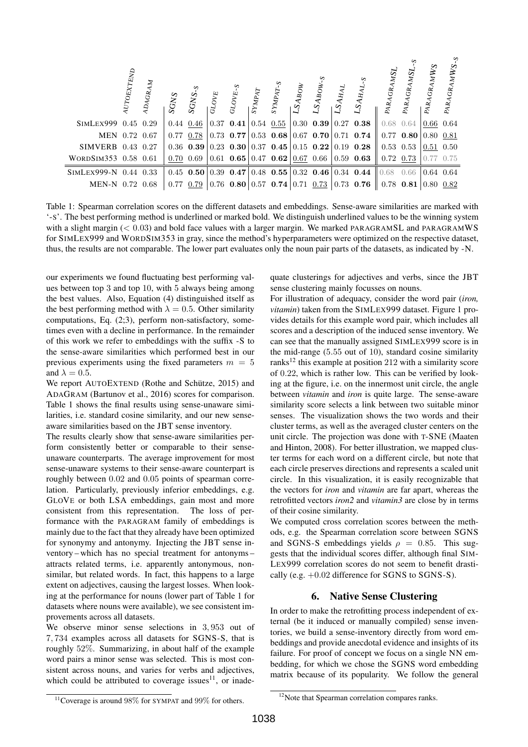|                       | $\rm \mathit{AUTOEXTEND}$ | GRAM<br>$\mathcal{L}$ | SGNS | ှ<br>SGN <sub>S</sub> | $\overline{\text{GLO}}_{V_E}$ | ೆ<br>GLOVE. | $\overline{s}_\text{YMPAT}$ | $SYMPAT-S$                    | LSABOW | $.5A_{\text{BOW-}S}$                                             | $\mathcal{L}\mathcal{S}\mathcal{A}_{H\mathcal{A}}$ | ∽<br>$S_{AHAL}$                                                                                 | PARAGRAMSL                        | PARAGRAMSL    | PARAGRAMWS    | ∽<br>PARAGRAMWS- |
|-----------------------|---------------------------|-----------------------|------|-----------------------|-------------------------------|-------------|-----------------------------|-------------------------------|--------|------------------------------------------------------------------|----------------------------------------------------|-------------------------------------------------------------------------------------------------|-----------------------------------|---------------|---------------|------------------|
| SIMLEX999 0.45 0.29   |                           |                       |      | $0.44\ 0.46$          |                               | $0.37$ 0.41 |                             | $\vert 0.54 \vert 0.55 \vert$ |        |                                                                  |                                                    | $\vert 0.30 \vert 0.39 \vert 0.27 \vert 0.38 \vert$                                             | $0.68$ 0.64                       |               | $0.66$ 0.64   |                  |
| MEN 0.72 0.67         |                           |                       |      | $0.77\;0.78$          |                               |             |                             |                               |        |                                                                  |                                                    | $\vert 0.73 \vert 0.77 \vert 0.53 \vert 0.68 \vert 0.67 \vert 0.70 \vert 0.71 \vert 0.74 \vert$ | $\parallel$ 0.77 0.80 0.80 0.81   |               |               |                  |
| SIMVERB 0.43 0.27     |                           |                       |      |                       |                               |             |                             |                               |        |                                                                  |                                                    | 0.36 0.39 0.23 0.30 0.37 0.45 0.15 0.22 0.19 0.28                                               |                                   | $0.53$ $0.53$ | $0.51$ 0.50   |                  |
| WORDSIM353 0.58 0.61  |                           |                       |      | $0.70 \quad 0.69$     |                               |             |                             |                               |        | $\vert 0.61 \; 0.65 \vert 0.47 \; 0.62 \vert 0.67 \; 0.66 \vert$ |                                                    | $ 0.59 \; 0.63 \;  $                                                                            | $\parallel$ 0.72 0.73 $\parallel$ |               | $0.77$ $0.75$ |                  |
| SIMLEX999-N 0.44 0.33 |                           |                       |      |                       |                               |             |                             |                               |        |                                                                  |                                                    | $0.45$ 0.50 0.39 0.47 0.48 0.55 0.32 0.46 0.34 0.44                                             | $0.68$ 0.66                       |               | $0.64$ 0.64   |                  |
| MEN-N 0.72 0.68       |                           |                       |      | $0.77$ 0.79           |                               |             |                             |                               |        | $\mid 0.76$ 0.80 $\mid 0.57$ 0.74 $\mid 0.71$ 0.73 $\mid$        |                                                    | $0.73$ 0.76                                                                                     | $\parallel$ 0.78 0.81 0.80 0.82   |               |               |                  |

Table 1: Spearman correlation scores on the different datasets and embeddings. Sense-aware similarities are marked with '-S'. The best performing method is underlined or marked bold. We distinguish underlined values to be the winning system with a slight margin (< 0.03) and bold face values with a larger margin. We marked PARAGRAMSL and PARAGRAMWS for SIMLEX999 and WORDSIM353 in gray, since the method's hyperparameters were optimized on the respective dataset, thus, the results are not comparable. The lower part evaluates only the noun pair parts of the datasets, as indicated by -N.

our experiments we found fluctuating best performing values between top 3 and top 10, with 5 always being among the best values. Also, Equation (4) distinguished itself as the best performing method with  $\lambda = 0.5$ . Other similarity computations, Eq. (2;3), perform non-satisfactory, sometimes even with a decline in performance. In the remainder of this work we refer to embeddings with the suffix -S to the sense-aware similarities which performed best in our previous experiments using the fixed parameters  $m = 5$ and  $\lambda = 0.5$ .

We report AUTOEXTEND (Rothe and Schütze, 2015) and ADAGRAM (Bartunov et al., 2016) scores for comparison. Table 1 shows the final results using sense-unaware similarities, i.e. standard cosine similarity, and our new senseaware similarities based on the JBT sense inventory.

The results clearly show that sense-aware similarities perform consistently better or comparable to their senseunaware counterparts. The average improvement for most sense-unaware systems to their sense-aware counterpart is roughly between 0.02 and 0.05 points of spearman correlation. Particularly, previously inferior embeddings, e.g. GLOVE or both LSA embeddings, gain most and more consistent from this representation. The loss of performance with the PARAGRAM family of embeddings is mainly due to the fact that they already have been optimized for synonymy and antonymy. Injecting the JBT sense inventory – which has no special treatment for antonyms – attracts related terms, i.e. apparently antonymous, nonsimilar, but related words. In fact, this happens to a large extent on adjectives, causing the largest losses. When looking at the performance for nouns (lower part of Table 1 for datasets where nouns were available), we see consistent improvements across all datasets.

We observe minor sense selections in 3, 953 out of 7, 734 examples across all datasets for SGNS-S, that is roughly 52%. Summarizing, in about half of the example word pairs a minor sense was selected. This is most consistent across nouns, and varies for verbs and adjectives, which could be attributed to coverage issues<sup>11</sup>, or inadequate clusterings for adjectives and verbs, since the JBT sense clustering mainly focusses on nouns.

For illustration of adequacy, consider the word pair (*iron, vitamin*) taken from the SIMLEX999 dataset. Figure 1 provides details for this example word pair, which includes all scores and a description of the induced sense inventory. We can see that the manually assigned SIMLEX999 score is in the mid-range (5.55 out of 10), standard cosine similarity ranks<sup>12</sup> this example at position 212 with a similarity score of 0.22, which is rather low. This can be verified by looking at the figure, i.e. on the innermost unit circle, the angle between *vitamin* and *iron* is quite large. The sense-aware similarity score selects a link between two suitable minor senses. The visualization shows the two words and their cluster terms, as well as the averaged cluster centers on the unit circle. The projection was done with T-SNE (Maaten and Hinton, 2008). For better illustration, we mapped cluster terms for each word on a different circle, but note that each circle preserves directions and represents a scaled unit circle. In this visualization, it is easily recognizable that the vectors for *iron* and *vitamin* are far apart, whereas the retrofitted vectors *iron2* and *vitamin3* are close by in terms of their cosine similarity.

We computed cross correlation scores between the methods, e.g. the Spearman correlation score between SGNS and SGNS-S embeddings yields  $\rho = 0.85$ . This suggests that the individual scores differ, although final SIM-LEX999 correlation scores do not seem to benefit drastically (e.g.  $+0.02$  difference for SGNS to SGNS-S).

#### 6. Native Sense Clustering

In order to make the retrofitting process independent of external (be it induced or manually compiled) sense inventories, we build a sense-inventory directly from word embeddings and provide anecdotal evidence and insights of its failure. For proof of concept we focus on a single NN embedding, for which we chose the SGNS word embedding matrix because of its popularity. We follow the general

<sup>11</sup>Coverage is around 98% for SYMPAT and 99% for others.

<sup>&</sup>lt;sup>12</sup>Note that Spearman correlation compares ranks.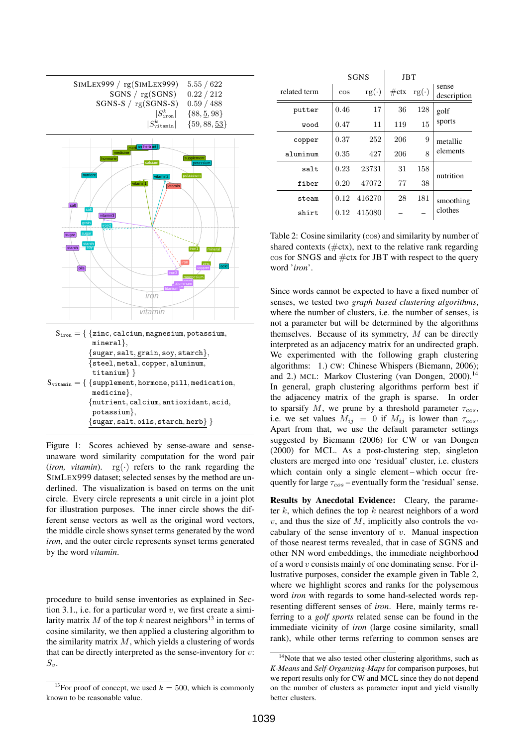



 $\{sugar, salt, grain, soy, starch\},\$ {steel, metal, copper, aluminum, titanium} }  $S_{\text{vitamin}} = \{\ \{\text{supplement}, \text{hormone}, \text{pill}, \text{medication}, \}$ medicine}, {nutrient, calcium, antioxidant, acid, potassium},

 ${sugar, salt, oils, startch, herb}$ 

Figure 1: Scores achieved by sense-aware and senseunaware word similarity computation for the word pair (*iron, vitamin*).  $rg(\cdot)$  refers to the rank regarding the SIMLEX999 dataset; selected senses by the method are underlined. The visualization is based on terms on the unit circle. Every circle represents a unit circle in a joint plot for illustration purposes. The inner circle shows the different sense vectors as well as the original word vectors, the middle circle shows synset terms generated by the word *iron*, and the outer circle represents synset terms generated by the word *vitamin*.

procedure to build sense inventories as explained in Section 3.1., i.e. for a particular word  $v$ , we first create a similarity matrix M of the top k nearest neighbors<sup>13</sup> in terms of cosine similarity, we then applied a clustering algorithm to the similarity matrix  $M$ , which yields a clustering of words that can be directly interpreted as the sense-inventory for  $v$ :  $S_v$ .

|              |        | <b>SGNS</b> | <b>JBT</b> |             |                      |  |
|--------------|--------|-------------|------------|-------------|----------------------|--|
| related term | $\cos$ | $rg(\cdot)$ | $\#$ ctx   | $rg(\cdot)$ | sense<br>description |  |
| putter       | 0.46   | 17          | 36         | 128         | golf                 |  |
| wood         | 0.47   | 11          | 119        | 15          | sports               |  |
| copper       | 0.37   | 252         | 206        | 9           | metallic             |  |
| aluminum     | 0.35   | 427         | 206        | 8           | elements             |  |
| salt         | 0.23   | 23731       | 31         | 158         | nutrition            |  |
| fiber        | 0.20   | 47072       | 77         | 38          |                      |  |
| steam        | 0.12   | 416270      | 28         | 181         | smoothing            |  |
| shirt        | 0.12   | 415080      |            |             | clothes              |  |

Table 2: Cosine similarity (cos) and similarity by number of shared contexts  $(\text{#ctx})$ , next to the relative rank regarding  $\cos$  for SNGS and  $\#$ ctx for JBT with respect to the query word '*iron*'.

Since words cannot be expected to have a fixed number of senses, we tested two *graph based clustering algorithms*, where the number of clusters, i.e. the number of senses, is not a parameter but will be determined by the algorithms themselves. Because of its symmetry,  $M$  can be directly interpreted as an adjacency matrix for an undirected graph. We experimented with the following graph clustering algorithms: 1.) CW: Chinese Whispers (Biemann, 2006); and 2.) MCL: Markov Clustering (van Dongen, 2000).<sup>14</sup> In general, graph clustering algorithms perform best if the adjacency matrix of the graph is sparse. In order to sparsify M, we prune by a threshold parameter  $\tau_{cos}$ , i.e. we set values  $M_{ij} = 0$  if  $M_{ij}$  is lower than  $\tau_{\text{cos}}$ . Apart from that, we use the default parameter settings suggested by Biemann (2006) for CW or van Dongen (2000) for MCL. As a post-clustering step, singleton clusters are merged into one 'residual' cluster, i.e. clusters which contain only a single element-which occur frequently for large  $\tau_{\text{cos}}$  – eventually form the 'residual' sense.

Results by Anecdotal Evidence: Cleary, the parameter k, which defines the top k nearest neighbors of a word  $v$ , and thus the size of  $M$ , implicitly also controls the vocabulary of the sense inventory of  $v$ . Manual inspection of those nearest terms revealed, that in case of SGNS and other NN word embeddings, the immediate neighborhood of a word v consists mainly of one dominating sense. For illustrative purposes, consider the example given in Table 2, where we highlight scores and ranks for the polysemous word *iron* with regards to some hand-selected words representing different senses of *iron*. Here, mainly terms referring to a *golf sports* related sense can be found in the immediate vicinity of *iron* (large cosine similarity, small rank), while other terms referring to common senses are

<sup>&</sup>lt;sup>13</sup>For proof of concept, we used  $k = 500$ , which is commonly known to be reasonable value.

<sup>&</sup>lt;sup>14</sup>Note that we also tested other clustering algorithms, such as *K-Means* and *Self-Organizing-Maps* for comparison purposes, but we report results only for CW and MCL since they do not depend on the number of clusters as parameter input and yield visually better clusters.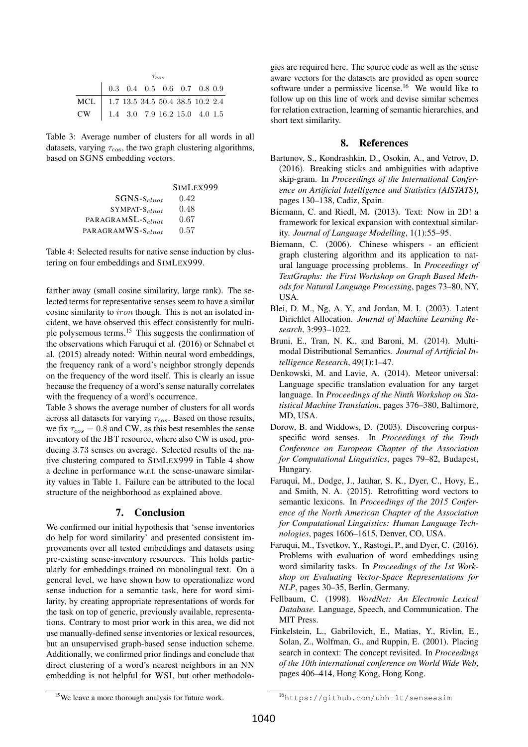|                                      | $\tau_{cos}$                                                               |  |  |  |  |  |  |  |  |  |
|--------------------------------------|----------------------------------------------------------------------------|--|--|--|--|--|--|--|--|--|
|                                      | $\begin{array}{ ccc } 0.3 & 0.4 & 0.5 & 0.6 & 0.7 & 0.8 & 0.9 \end{array}$ |  |  |  |  |  |  |  |  |  |
| MCL 1.7 13.5 34.5 50.4 38.5 10.2 2.4 |                                                                            |  |  |  |  |  |  |  |  |  |
| CW   1.4 3.0 7.9 16.2 15.0 4.0 1.5   |                                                                            |  |  |  |  |  |  |  |  |  |

Table 3: Average number of clusters for all words in all datasets, varying  $\tau_{\cos}$ , the two graph clustering algorithms, based on SGNS embedding vectors.

| SIMLEX999 |
|-----------|
| 0.42      |
| 0.48      |
| 0.67      |
| 0.57      |
|           |

Table 4: Selected results for native sense induction by clustering on four embeddings and SIMLEX999.

farther away (small cosine similarity, large rank). The selected terms for representative senses seem to have a similar cosine similarity to iron though. This is not an isolated incident, we have observed this effect consistently for multiple polysemous terms.<sup>15</sup> This suggests the confirmation of the observations which Faruqui et al. (2016) or Schnabel et al. (2015) already noted: Within neural word embeddings, the frequency rank of a word's neighbor strongly depends on the frequency of the word itself. This is clearly an issue because the frequency of a word's sense naturally correlates with the frequency of a word's occurrence.

Table 3 shows the average number of clusters for all words across all datasets for varying  $\tau_{cos}$ . Based on those results, we fix  $\tau_{cos} = 0.8$  and CW, as this best resembles the sense inventory of the JBT resource, where also CW is used, producing 3.73 senses on average. Selected results of the native clustering compared to SIMLEX999 in Table 4 show a decline in performance w.r.t. the sense-unaware similarity values in Table 1. Failure can be attributed to the local structure of the neighborhood as explained above.

## 7. Conclusion

We confirmed our initial hypothesis that 'sense inventories do help for word similarity' and presented consistent improvements over all tested embeddings and datasets using pre-existing sense-inventory resources. This holds particularly for embeddings trained on monolingual text. On a general level, we have shown how to operationalize word sense induction for a semantic task, here for word similarity, by creating appropriate representations of words for the task on top of generic, previously available, representations. Contrary to most prior work in this area, we did not use manually-defined sense inventories or lexical resources, but an unsupervised graph-based sense induction scheme. Additionally, we confirmed prior findings and conclude that direct clustering of a word's nearest neighbors in an NN embedding is not helpful for WSI, but other methodologies are required here. The source code as well as the sense aware vectors for the datasets are provided as open source software under a permissive license.<sup>16</sup> We would like to follow up on this line of work and devise similar schemes for relation extraction, learning of semantic hierarchies, and short text similarity.

#### 8. References

- Bartunov, S., Kondrashkin, D., Osokin, A., and Vetrov, D. (2016). Breaking sticks and ambiguities with adaptive skip-gram. In *Proceedings of the International Conference on Artificial Intelligence and Statistics (AISTATS)*, pages 130–138, Cadiz, Spain.
- Biemann, C. and Riedl, M. (2013). Text: Now in 2D! a framework for lexical expansion with contextual similarity. *Journal of Language Modelling*, 1(1):55–95.
- Biemann, C. (2006). Chinese whispers an efficient graph clustering algorithm and its application to natural language processing problems. In *Proceedings of TextGraphs: the First Workshop on Graph Based Methods for Natural Language Processing*, pages 73–80, NY, USA.
- Blei, D. M., Ng, A. Y., and Jordan, M. I. (2003). Latent Dirichlet Allocation. *Journal of Machine Learning Research*, 3:993–1022.
- Bruni, E., Tran, N. K., and Baroni, M. (2014). Multimodal Distributional Semantics. *Journal of Artificial Intelligence Research*, 49(1):1–47.
- Denkowski, M. and Lavie, A. (2014). Meteor universal: Language specific translation evaluation for any target language. In *Proceedings of the Ninth Workshop on Statistical Machine Translation*, pages 376–380, Baltimore, MD, USA.
- Dorow, B. and Widdows, D. (2003). Discovering corpusspecific word senses. In *Proceedings of the Tenth Conference on European Chapter of the Association for Computational Linguistics*, pages 79–82, Budapest, Hungary.
- Faruqui, M., Dodge, J., Jauhar, S. K., Dyer, C., Hovy, E., and Smith, N. A. (2015). Retrofitting word vectors to semantic lexicons. In *Proceedings of the 2015 Conference of the North American Chapter of the Association for Computational Linguistics: Human Language Technologies*, pages 1606–1615, Denver, CO, USA.
- Faruqui, M., Tsvetkov, Y., Rastogi, P., and Dyer, C. (2016). Problems with evaluation of word embeddings using word similarity tasks. In *Proceedings of the 1st Workshop on Evaluating Vector-Space Representations for NLP*, pages 30–35, Berlin, Germany.
- Fellbaum, C. (1998). *WordNet: An Electronic Lexical Database*. Language, Speech, and Communication. The MIT Press.
- Finkelstein, L., Gabrilovich, E., Matias, Y., Rivlin, E., Solan, Z., Wolfman, G., and Ruppin, E. (2001). Placing search in context: The concept revisited. In *Proceedings of the 10th international conference on World Wide Web*, pages 406–414, Hong Kong, Hong Kong.

<sup>&</sup>lt;sup>15</sup>We leave a more thorough analysis for future work.

<sup>16</sup>https://github.com/uhh-lt/senseasim